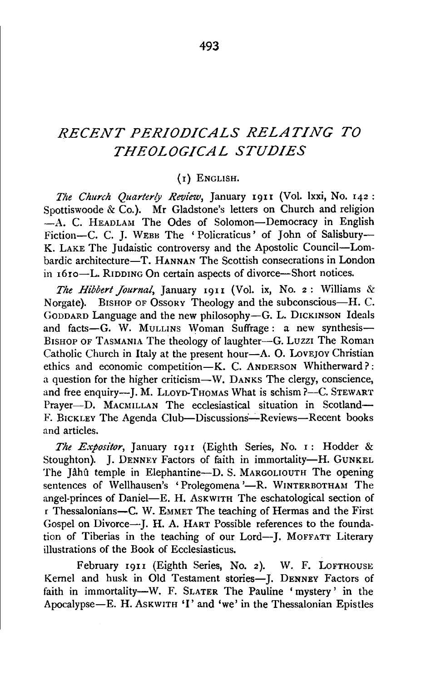# *RECENT PERIODICALS RELATING TO THEOLOGICAL STUDIES*

### (I) ENGLISH.

*The Church Quarterly Review,* January 19II (Vol. lxxi, No. 142 : Spottiswoode & Co.). Mr Gladstone's letters on Church and religion  $-A$ . C. HEADLAM The Odes of Solomon-Democracy in English Fiction-C. C. J. WEBB The 'Policraticus' of John of Salisbury-K. LAKE The Judaistic controversy and the Apostolic Council-Lombardic architecture-T. HANNAN The Scottish consecrations in London in  $16$ ro-L. RIDDING On certain aspects of divorce-Short notices.

*The Hibbert Journal*, January 1911 (Vol. ix, No. 2: Williams & Norgate). BISHOP OF OSSORY Theology and the subconscious-H. C. GoDDARD Language and the new philosophy-G. L. DICKINSON Ideals and facts-G. W. MULLINS Woman Suffrage: a new synthesis-BISHOP OF TASMANIA The theology of laughter-G. Luzzi The Roman Catholic Church in Italy at the present hour—A. O. LovEJOY Christian ethics and economic competition-K. C. ANDERSON Whitherward?: a question for the higher criticism-W. DANKS The clergy, conscience, and free enquiry-}. M. LLOYD·THOMAS What is schism ?-C. STEWART Prayer-D. MACMILLAN The ecclesiastical situation in Scotland-F. BICKLEY The Agenda Club-Discussions-Reviews-Recent books and articles.

*The Expositor,* January I9II (Eighth Series, No. I: Hodder & Stoughton). J. DENNEY Factors of faith in immortality-H. GUNKEL The Jahu temple in Elephantine-D. S. MARGOLIOUTH The opening sentences of Wellhausen's 'Prolegomena'—R. WINTERBOTHAM The angel-princes of Daniel-E. H. AsKWITH The eschatological section of r Thessalonians-C. W. EMMET The teaching of Hermas and the First Gospel on Divorce--- J. H. A. HART Possible references to the foundation of Tiberias in the teaching of our Lord--J. MoFFATT Literary illustrations of the Book of Ecclesiasticus.

February 1911 (Eighth Series, No. 2). W. F. LOFTHOUSE Kernel and husk in Old Testament stories-J. DENNEY Factors of faith in immortality-W. F. SLATER The Pauline 'mystery' in the Apocalypse-E. H. AsKWITH 'I' and 'we' in the Thessalonian Epistles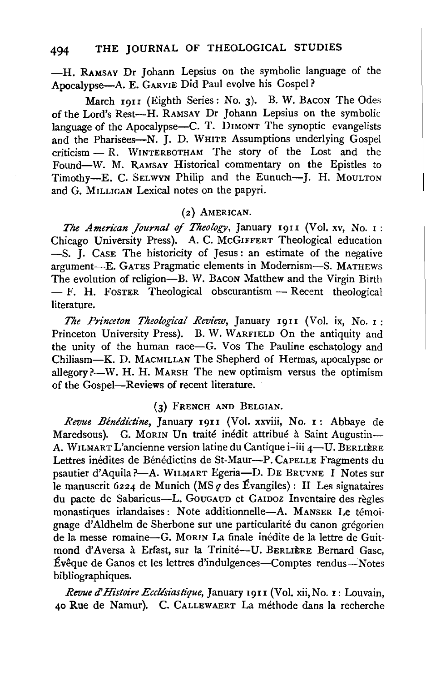-H. RAMSAY Dr Johann Lepsius on the symbolic language of the Apocalypse-A. E. GARVIE Did Paul evolve his Gospel?

March 1911 (Eighth Series: No. 3). B. W. BACON The Odes of the Lord's Rest-H. RAMSAY Dr Johann Lepsius on the symbolic language of the Apocalypse-C. T. DIMONT The synoptic evangelists and the Pharisees-N. J. D. WHITE Assumptions underlying Gospel criticism - R. WINTERBOTHAM The story of the Lost and the Found-W. M. RAMSAY Historical commentary on the Epistles to Timothy-E. C. SELWYN Philip and the Eunuch-J. H. MOULTON and G. MILLIGAN Lexical notes on the papyri.

#### (2} AMERICAN.

*The American Journal of Theology,* January 1911 (Vol. xv, No. 1: Chicago University Press). A. C. McGIFFERT Theological education -S. J. CASE The historicity of Jesus: an estimate of the negative argument-E. GATES Pragmatic elements in Modernism-S. MATHEWS The evolution of religion---B. W. Bacon Matthew and the Virgin Birth  $-$  F. H. FOSTER Theological obscurantism  $-$  Recent theological literature.

*The Pn'nceton Theological Review,* January 1911 (Vol. ix, No. 1: Princeton University Press). B. W. WARFIELD On the antiquity and the unity of the human race-G. Vos The Pauline eschatology and Chiliasm-K. D. MACMILLAN The Shepherd of Hermas, apocalypse or allegory?--W. H. H. MARSH The new optimism versus the optimism of the Gospel-Reviews of recent literature.

#### (3} FRENCH AND BELGIAN.

Revue Bénédictine, January 1911 (Vol. xxviii, No. 1: Abbaye de Maredsous). G. MORIN Un traité inédit attribué à Saint Augustin-A. WILMART L'ancienne version latine du Cantique i-iii 4-U. BERLIÈRE Lettres inédites de Bénédictins de St-Maur-P. CAPELLE Fragments du psautier d'Aquila?-A. WILMART Egeria-D. DE BRUYNE I Notes sur le manuscrit 6224 de Munich (MS *q* des Evangiles) : II Les signataires du pacte de Sabaricus-L. GouGAUD et GAIDOZ Inventaire des regles monastiques irlandaises: Note additionnelle-A. MANSER Le témoignage d'Aldhelm de Sherbone sur une particularité du canon grégorien de la messe romaine-G. MoRIN La finale inedite de la lettre de Guitmond d'Aversa à Erfast, sur la Trinité--U. BERLIÈRE Bernard Gasc, Évêque de Ganos et les lettres d'indulgences-Comptes rendus-Notes bibliographiques.

Revue *d' Histoire Ecclésiastique*, January 1911 (Vol. xii, No. 1: Louvain, 40 Rue de Namur}. c. CALLEWAERT La methode dans la recherche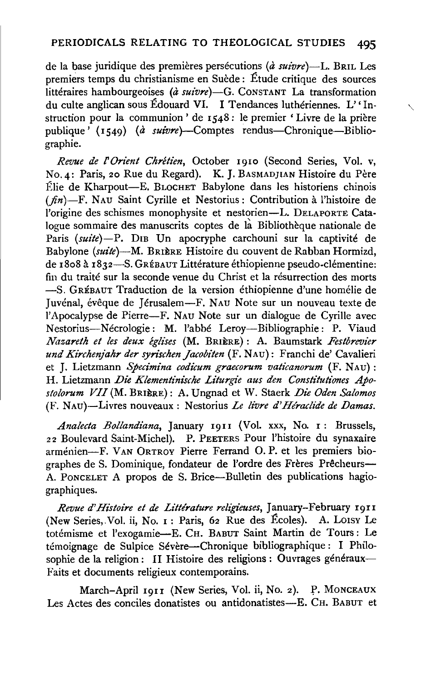de la base juridique des premieres persecutions (a *suivre)-L.* BRrL Les premiers temps du christianisme en Suede: Etude critique des sources littéraires hambourgeoises (à suivre)-G. CONSTANT La transformation du culte anglican sous Edouard VI. I Tendances lutheriennes. L' 'Instruction pour la communion ' de 1548 : le premier ' Livre de la prière publique' (I549) (a *suivre)-Comptes* rendus-Chronique-Bibliographie.

',

*Revue de l'Orient Chrétien*, October 1910 (Second Series, Vol. v, No. 4: Paris, 20 Rue du Regard). K. J. BASMADJIAN Histoire du Père Elie de Kharpout-E. BLOCHET Babylone clans les historiens chinois *(fin)-F.* NAU Saint Cyrille et Nestorius: Contribution a l'histoire de l'origine des schismes monophysite et nestorien-L. DELAPORTE Catalogue sommaire des manuscrits coptes de là Bibliothèque nationale de Paris *(suite*)-P. DIB Un apocryphe carchouni sur la captivité de Babylone *(suite)-*M. BRIERE Histoire du couvent de Rabban Hormizd, de I8o8 a I832-S. GREBAUT Litterature ethiopienne pseudo-clementine: fin du traite sur la seconde venue du Christ et la resurrection des morts -S. GREBAUT Traduction de la version ethiopienne d'une homelie de Juvénal, évêque de Jérusalem-F. NAU Note sur un nouveau texte de !'Apocalypse de Pierre-F. NAU Note sur un dialogue de Cyrille avec Nestorius-Necrologie: M. !'abbe Leroy-Bibliographie: P. Viaud *Nazareth et les deux eglises* (M. BRIERE): A. Baumstark *Festbrevier und Kirchenjahr der syrischen Jacobiten* (F. NAu): Franchi de' Cavalieri et J. Lietzmann *Specimina codicum graecorum vaticanorum* (F. NAu): H. Lietzmann *Die Klementinische Liturgie aus den Constitutiones Apostolorum VII* (M. BRIERE): A. Ungnad et W. Staerk *Die Oden Salomos*  (F. NAu)--Livres nouveaux : Nestorius *Le livre d'Hiraclide de Damas.* 

*Ana!ecta Bollandiana,* January I9II (Vol. xxx, No. I : Brussels, 22 Boulevard Saint-Michel). P. PEETERS Pour l'histoire du synaxaire armenien-F. VAN 0RTROY Pierre Ferrand 0. P. et les premiers biographes de S. Dominique, fondateur de l'ordre des Frères Prêcheurs-A. PoNCELET A propos de S. Brice-Bulletin des publications hagiographiques.

Revue d'Histoire et de Littérature religieuses, January-February 1911 (New Series,.Vol. ii, No. I: Paris, 62 Rue des Ecoles). A. LOisY Le totemisme et l'exogamie-E. CH. BABUT Saint Martin de Tours : Le témoignage de Sulpice Sévère-Chronique bibliographique : I Philosophie de la religion: II Histoire des religions : Ouvrages généraux-Faits et documents religieux contemporains.

March-April 1911 (New Series, Vol. ii, No. 2). P. MONCEAUX Les Actes des conciles donatistes ou antidonatistes-E. CH. BABUT et